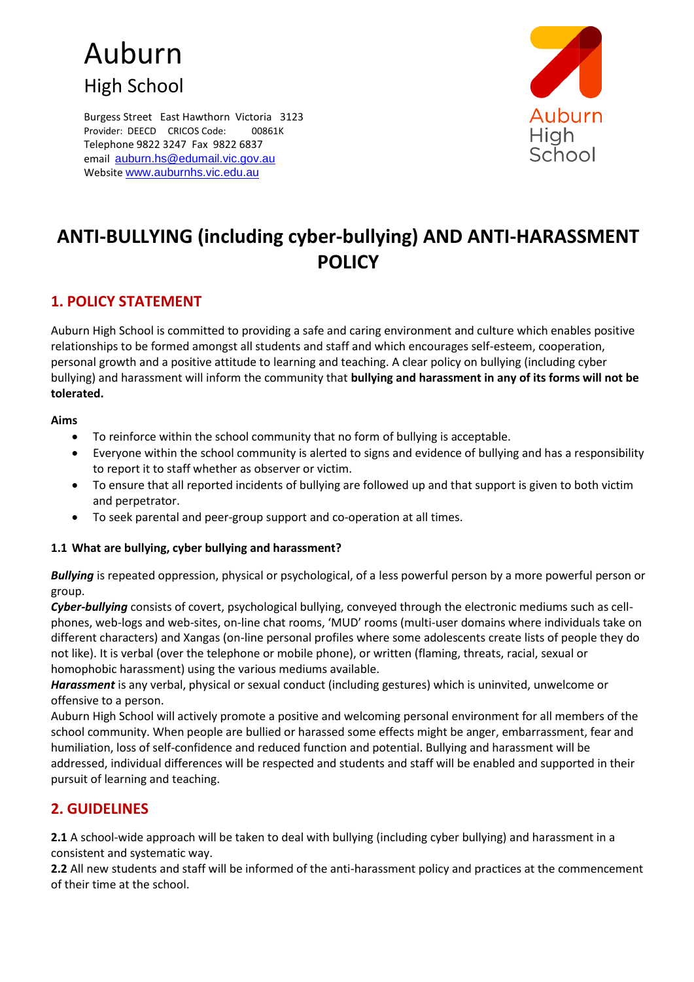# Auburn High School

Burgess Street East Hawthorn Victoria 3123 Provider: DEECD CRICOS Code: 00861K Telephone 9822 3247 Fax 9822 6837 email [auburn.hs@edumail.vic.gov.au](mailto:auburn.hs@edumail.vic.gov.au) Website [www.auburnhs.vic.edu.au](http://www.auburnhs.vic.edu.au/)



## **ANTI-BULLYING (including cyber-bullying) AND ANTI-HARASSMENT POLICY**

## **1. POLICY STATEMENT**

Auburn High School is committed to providing a safe and caring environment and culture which enables positive relationships to be formed amongst all students and staff and which encourages self-esteem, cooperation, personal growth and a positive attitude to learning and teaching. A clear policy on bullying (including cyber bullying) and harassment will inform the community that **bullying and harassment in any of its forms will not be tolerated.** 

#### **Aims**

- To reinforce within the school community that no form of bullying is acceptable.
- Everyone within the school community is alerted to signs and evidence of bullying and has a responsibility to report it to staff whether as observer or victim.
- To ensure that all reported incidents of bullying are followed up and that support is given to both victim and perpetrator.
- To seek parental and peer-group support and co-operation at all times.

#### **1.1 What are bullying, cyber bullying and harassment?**

*Bullying* is repeated oppression, physical or psychological, of a less powerful person by a more powerful person or group.

*Cyber-bullying* consists of covert, psychological bullying, conveyed through the electronic mediums such as cellphones, web-logs and web-sites, on-line chat rooms, 'MUD' rooms (multi-user domains where individuals take on different characters) and Xangas (on-line personal profiles where some adolescents create lists of people they do not like). It is verbal (over the telephone or mobile phone), or written (flaming, threats, racial, sexual or homophobic harassment) using the various mediums available.

*Harassment* is any verbal, physical or sexual conduct (including gestures) which is uninvited, unwelcome or offensive to a person.

Auburn High School will actively promote a positive and welcoming personal environment for all members of the school community. When people are bullied or harassed some effects might be anger, embarrassment, fear and humiliation, loss of self-confidence and reduced function and potential. Bullying and harassment will be addressed, individual differences will be respected and students and staff will be enabled and supported in their pursuit of learning and teaching.

## **2. GUIDELINES**

**2.1** A school-wide approach will be taken to deal with bullying (including cyber bullying) and harassment in a consistent and systematic way.

**2.2** All new students and staff will be informed of the anti-harassment policy and practices at the commencement of their time at the school.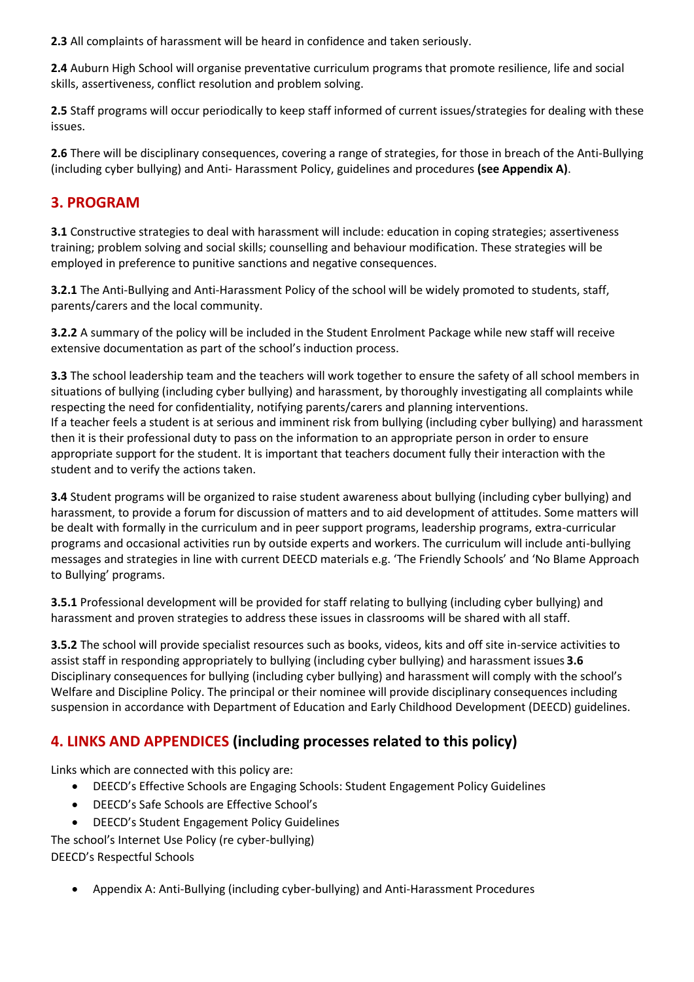**2.3** All complaints of harassment will be heard in confidence and taken seriously.

**2.4** Auburn High School will organise preventative curriculum programs that promote resilience, life and social skills, assertiveness, conflict resolution and problem solving.

**2.5** Staff programs will occur periodically to keep staff informed of current issues/strategies for dealing with these issues.

**2.6** There will be disciplinary consequences, covering a range of strategies, for those in breach of the Anti-Bullying (including cyber bullying) and Anti- Harassment Policy, guidelines and procedures **(see Appendix A)**.

## **3. PROGRAM**

**3.1** Constructive strategies to deal with harassment will include: education in coping strategies; assertiveness training; problem solving and social skills; counselling and behaviour modification. These strategies will be employed in preference to punitive sanctions and negative consequences.

**3.2.1** The Anti-Bullying and Anti-Harassment Policy of the school will be widely promoted to students, staff, parents/carers and the local community.

**3.2.2** A summary of the policy will be included in the Student Enrolment Package while new staff will receive extensive documentation as part of the school's induction process.

**3.3** The school leadership team and the teachers will work together to ensure the safety of all school members in situations of bullying (including cyber bullying) and harassment, by thoroughly investigating all complaints while respecting the need for confidentiality, notifying parents/carers and planning interventions. If a teacher feels a student is at serious and imminent risk from bullying (including cyber bullying) and harassment then it is their professional duty to pass on the information to an appropriate person in order to ensure appropriate support for the student. It is important that teachers document fully their interaction with the student and to verify the actions taken.

**3.4** Student programs will be organized to raise student awareness about bullying (including cyber bullying) and harassment, to provide a forum for discussion of matters and to aid development of attitudes. Some matters will be dealt with formally in the curriculum and in peer support programs, leadership programs, extra-curricular programs and occasional activities run by outside experts and workers. The curriculum will include anti-bullying messages and strategies in line with current DEECD materials e.g. 'The Friendly Schools' and 'No Blame Approach to Bullying' programs.

**3.5.1** Professional development will be provided for staff relating to bullying (including cyber bullying) and harassment and proven strategies to address these issues in classrooms will be shared with all staff.

**3.5.2** The school will provide specialist resources such as books, videos, kits and off site in-service activities to assist staff in responding appropriately to bullying (including cyber bullying) and harassment issues **3.6**  Disciplinary consequences for bullying (including cyber bullying) and harassment will comply with the school's Welfare and Discipline Policy. The principal or their nominee will provide disciplinary consequences including suspension in accordance with Department of Education and Early Childhood Development (DEECD) guidelines.

## **4. LINKS AND APPENDICES (including processes related to this policy)**

Links which are connected with this policy are:

- DEECD's Effective Schools are Engaging Schools: Student Engagement Policy Guidelines
- DEECD's Safe Schools are Effective School's
- DEECD's Student Engagement Policy Guidelines

The school's Internet Use Policy (re cyber-bullying) DEECD's Respectful Schools

Appendix A: Anti-Bullying (including cyber-bullying) and Anti-Harassment Procedures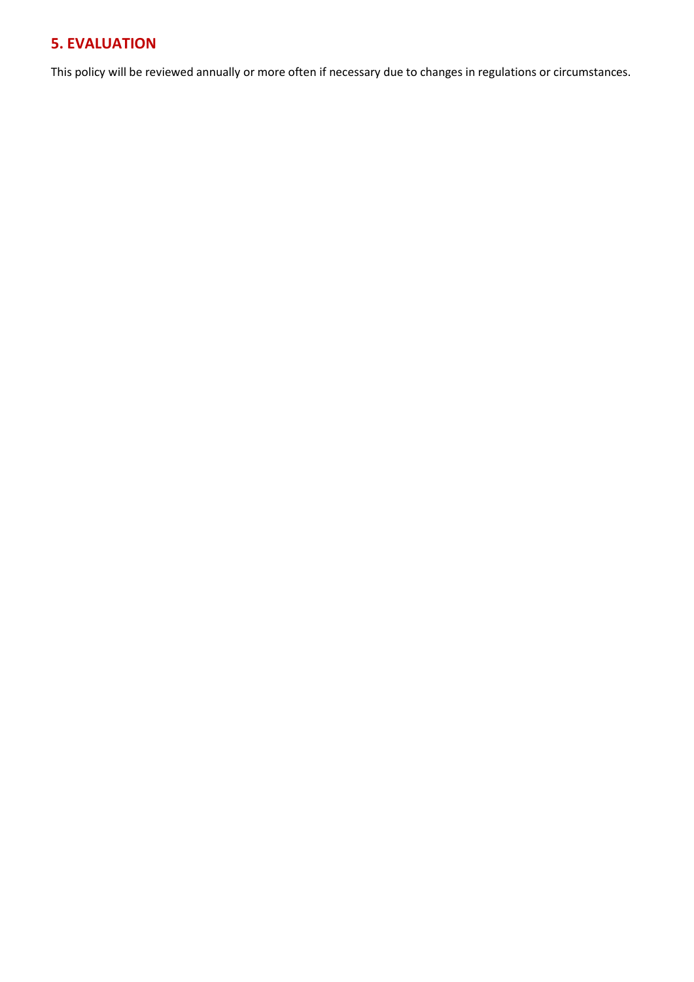## **5. EVALUATION**

This policy will be reviewed annually or more often if necessary due to changes in regulations or circumstances.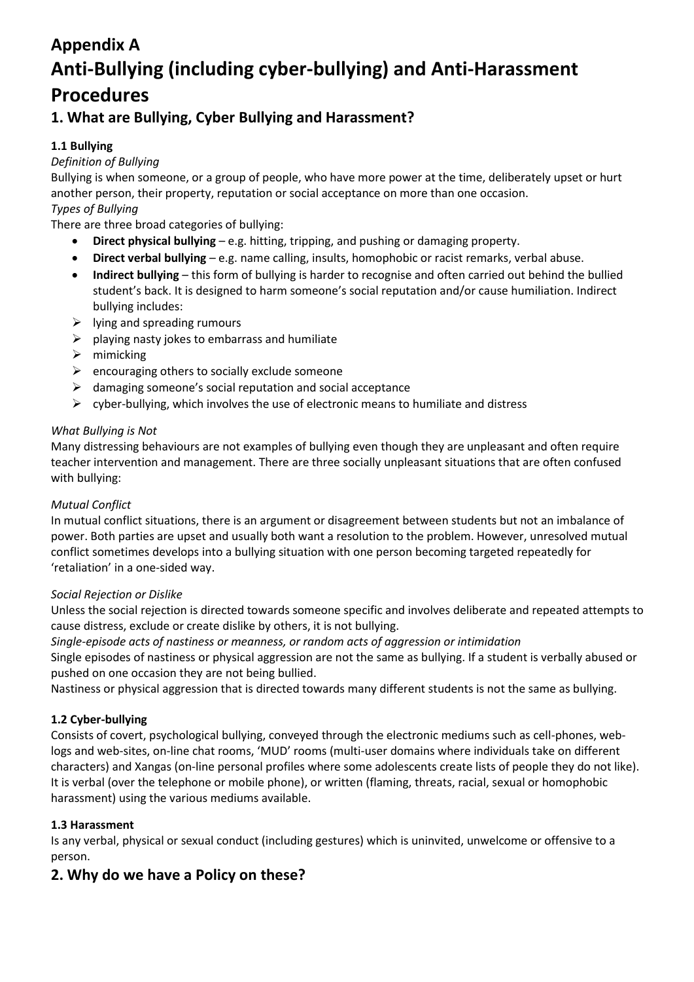## **Appendix A Anti-Bullying (including cyber-bullying) and Anti-Harassment Procedures**

## **1. What are Bullying, Cyber Bullying and Harassment?**

### **1.1 Bullying**

#### *Definition of Bullying*

Bullying is when someone, or a group of people, who have more power at the time, deliberately upset or hurt another person, their property, reputation or social acceptance on more than one occasion.

## *Types of Bullying*

There are three broad categories of bullying:

- **Direct physical bullying**  e.g. hitting, tripping, and pushing or damaging property.
- **Direct verbal bullying**  e.g. name calling, insults, homophobic or racist remarks, verbal abuse.
- **Indirect bullying**  this form of bullying is harder to recognise and often carried out behind the bullied student's back. It is designed to harm someone's social reputation and/or cause humiliation. Indirect bullying includes:
- $\triangleright$  lying and spreading rumours
- $\triangleright$  playing nasty jokes to embarrass and humiliate
- $\triangleright$  mimicking
- $\triangleright$  encouraging others to socially exclude someone
- $\triangleright$  damaging someone's social reputation and social acceptance
- $\triangleright$  cyber-bullying, which involves the use of electronic means to humiliate and distress

#### *What Bullying is Not*

Many distressing behaviours are not examples of bullying even though they are unpleasant and often require teacher intervention and management. There are three socially unpleasant situations that are often confused with bullying:

#### *Mutual Conflict*

In mutual conflict situations, there is an argument or disagreement between students but not an imbalance of power. Both parties are upset and usually both want a resolution to the problem. However, unresolved mutual conflict sometimes develops into a bullying situation with one person becoming targeted repeatedly for 'retaliation' in a one-sided way.

#### *Social Rejection or Dislike*

Unless the social rejection is directed towards someone specific and involves deliberate and repeated attempts to cause distress, exclude or create dislike by others, it is not bullying.

*Single-episode acts of nastiness or meanness, or random acts of aggression or intimidation* 

Single episodes of nastiness or physical aggression are not the same as bullying. If a student is verbally abused or pushed on one occasion they are not being bullied.

Nastiness or physical aggression that is directed towards many different students is not the same as bullying.

#### **1.2 Cyber-bullying**

Consists of covert, psychological bullying, conveyed through the electronic mediums such as cell-phones, weblogs and web-sites, on-line chat rooms, 'MUD' rooms (multi-user domains where individuals take on different characters) and Xangas (on-line personal profiles where some adolescents create lists of people they do not like). It is verbal (over the telephone or mobile phone), or written (flaming, threats, racial, sexual or homophobic harassment) using the various mediums available.

#### **1.3 Harassment**

Is any verbal, physical or sexual conduct (including gestures) which is uninvited, unwelcome or offensive to a person.

## **2. Why do we have a Policy on these?**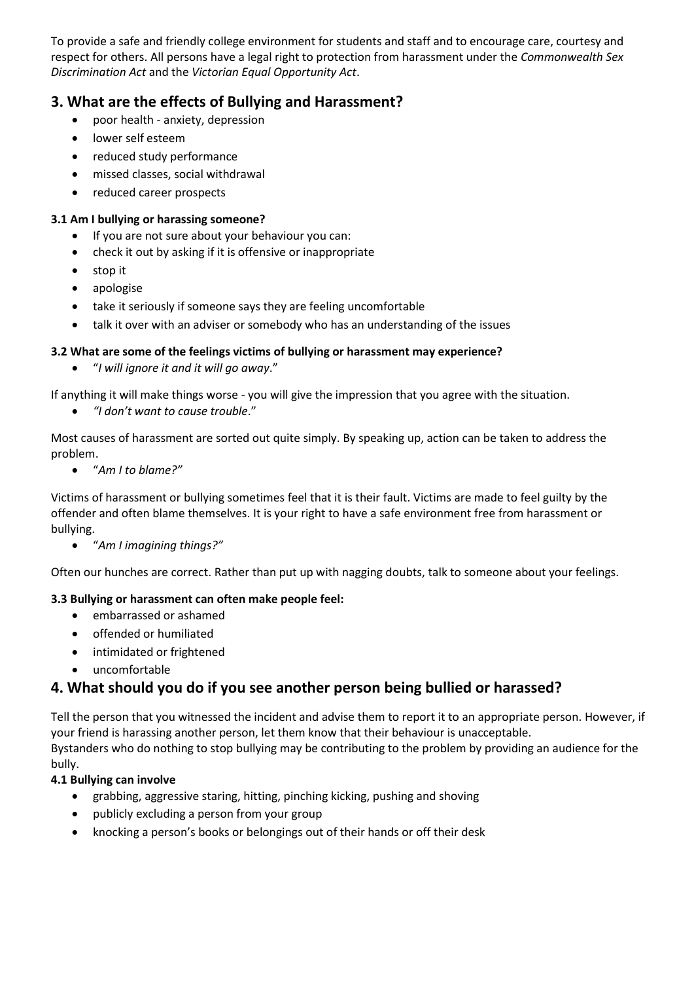To provide a safe and friendly college environment for students and staff and to encourage care, courtesy and respect for others. All persons have a legal right to protection from harassment under the *Commonwealth Sex Discrimination Act* and the *Victorian Equal Opportunity Act*.

## **3. What are the effects of Bullying and Harassment?**

- poor health anxiety, depression
- lower self esteem
- reduced study performance
- missed classes, social withdrawal
- reduced career prospects

#### **3.1 Am I bullying or harassing someone?**

- If you are not sure about your behaviour you can:
- check it out by asking if it is offensive or inappropriate
- stop it
- apologise
- take it seriously if someone says they are feeling uncomfortable
- talk it over with an adviser or somebody who has an understanding of the issues

#### **3.2 What are some of the feelings victims of bullying or harassment may experience?**

"*I will ignore it and it will go away*."

If anything it will make things worse - you will give the impression that you agree with the situation.

*"I don't want to cause trouble*."

Most causes of harassment are sorted out quite simply. By speaking up, action can be taken to address the problem.

"*Am I to blame?"* 

Victims of harassment or bullying sometimes feel that it is their fault. Victims are made to feel guilty by the offender and often blame themselves. It is your right to have a safe environment free from harassment or bullying.

"*Am I imagining things?"* 

Often our hunches are correct. Rather than put up with nagging doubts, talk to someone about your feelings.

#### **3.3 Bullying or harassment can often make people feel:**

- embarrassed or ashamed
- **•** offended or humiliated
- intimidated or frightened
- uncomfortable

## **4. What should you do if you see another person being bullied or harassed?**

Tell the person that you witnessed the incident and advise them to report it to an appropriate person. However, if your friend is harassing another person, let them know that their behaviour is unacceptable. Bystanders who do nothing to stop bullying may be contributing to the problem by providing an audience for the bully.

#### **4.1 Bullying can involve**

- grabbing, aggressive staring, hitting, pinching kicking, pushing and shoving
- publicly excluding a person from your group
- knocking a person's books or belongings out of their hands or off their desk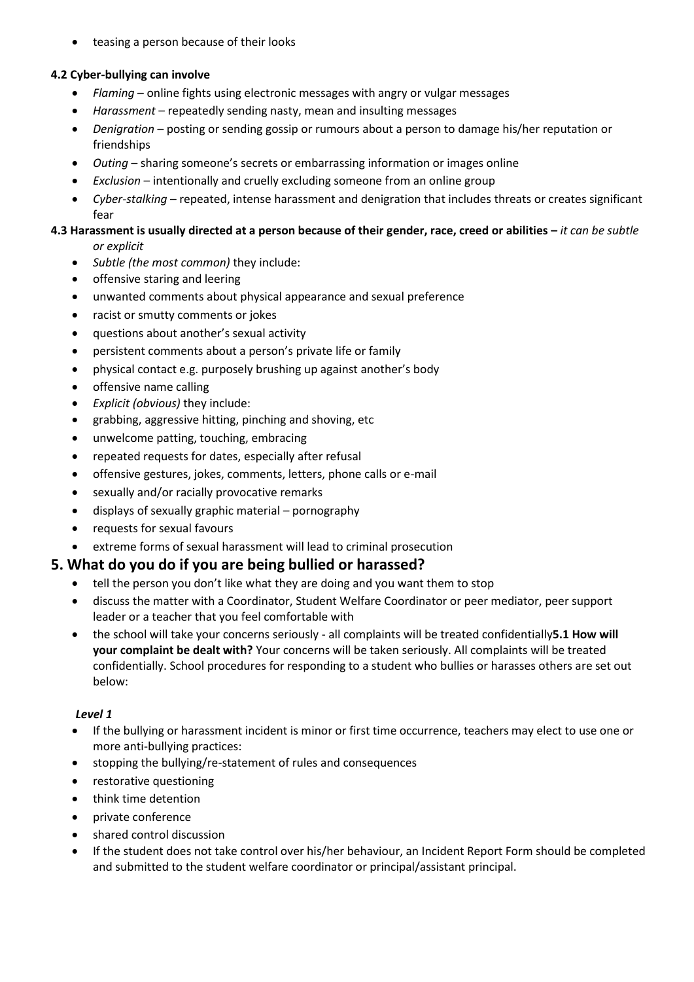• teasing a person because of their looks

#### **4.2 Cyber-bullying can involve**

- *Flaming*  online fights using electronic messages with angry or vulgar messages
- *Harassment*  repeatedly sending nasty, mean and insulting messages
- Denigration posting or sending gossip or rumours about a person to damage his/her reputation or friendships
- *Outing*  sharing someone's secrets or embarrassing information or images online
- *Exclusion*  intentionally and cruelly excluding someone from an online group
- *Cyber-stalking*  repeated, intense harassment and denigration that includes threats or creates significant fear

#### **4.3 Harassment is usually directed at a person because of their gender, race, creed or abilities –** *it can be subtle or explicit*

- *Subtle (the most common)* they include:
- offensive staring and leering
- unwanted comments about physical appearance and sexual preference
- racist or smutty comments or jokes
- questions about another's sexual activity
- persistent comments about a person's private life or family
- physical contact e.g. purposely brushing up against another's body
- offensive name calling
- *Explicit (obvious)* they include:
- grabbing, aggressive hitting, pinching and shoving, etc
- unwelcome patting, touching, embracing
- repeated requests for dates, especially after refusal
- offensive gestures, jokes, comments, letters, phone calls or e-mail
- sexually and/or racially provocative remarks
- displays of sexually graphic material pornography
- requests for sexual favours
- extreme forms of sexual harassment will lead to criminal prosecution

## **5. What do you do if you are being bullied or harassed?**

- tell the person you don't like what they are doing and you want them to stop
- discuss the matter with a Coordinator, Student Welfare Coordinator or peer mediator, peer support leader or a teacher that you feel comfortable with
- the school will take your concerns seriously all complaints will be treated confidentially**5.1 How will your complaint be dealt with?** Your concerns will be taken seriously. All complaints will be treated confidentially. School procedures for responding to a student who bullies or harasses others are set out below:

#### *Level 1*

- If the bullying or harassment incident is minor or first time occurrence, teachers may elect to use one or more anti-bullying practices:
- stopping the bullying/re-statement of rules and consequences
- restorative questioning
- think time detention
- private conference
- shared control discussion
- If the student does not take control over his/her behaviour, an Incident Report Form should be completed and submitted to the student welfare coordinator or principal/assistant principal.